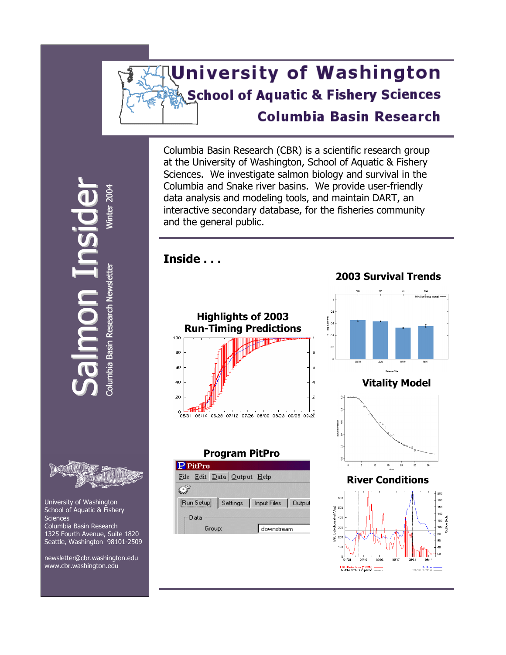# **University of Washington School of Aquatic & Fishery Sciences Columbia Basin Research**

Columbia Basin Research (CBR) is a scientific research group at the University of Washington, School of Aquatic & Fishery Sciences. We investigate salmon biology and survival in the Columbia and Snake river basins. We provide user-friendly data analysis and modeling tools, and maintain DART, an interactive secondary database, for the fisheries community and the general public.

**Inside . . . 2003 Survival Trends Highlights of 2003 Run-Timing Predictions**   $100$ 8 80 60  $\mathbf{6}$ 40  $\overline{4}$  $\mathsf{P}$  $\mathbf{z}$  $\frac{8}{3}$ 

#### **Program PitPro**









wsletter Winter 20 **Inter** sid n $\equiv$ noalm

 $\bf{U}$ r

 $\mathord{\hspace{1pt}\text{--}\hspace{1pt}}$ 4

Colum bia Basin R esearch N **Basin Research Newsletter** 



 $\boldsymbol{\mathsf{C}}$ 

 University of Washington School of Aquatic & Fishery **Sciences**  Columbia Basin Research 1325 Fourth Avenue, Suite 1820 Seattle, Washington 98101-2509

 newsletter@cbr.washington.edu  [www.cbr.washington.edu](http://www.cbr.washington.edu/)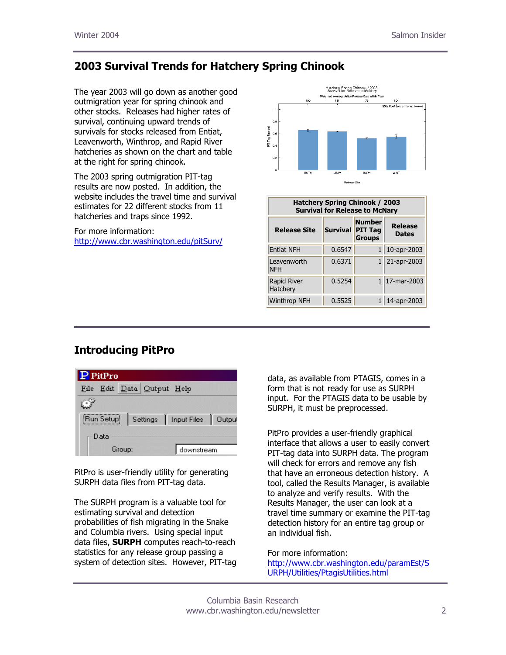# **2003 Survival Trends for Hatchery Spring Chinook**

The year 2003 will go down as another good outmigration year for spring chinook and other stocks. Releases had higher rates of survival, continuing upward trends of survivals for stocks released from Entiat, Leavenworth, Winthrop, and Rapid River hatcheries as shown on the chart and table at the right for spring chinook.

The 2003 spring outmigration PIT-tag results are now posted. In addition, the website includes the travel time and survival estimates for 22 different stocks from 11 hatcheries and traps since 1992.

For more information: <http://www.cbr.washington.edu/pitSurv/>



| <b>Hatchery Spring Chinook / 2003</b><br><b>Survival for Release to McNary</b> |                         |                                |                         |
|--------------------------------------------------------------------------------|-------------------------|--------------------------------|-------------------------|
| <b>Release Site</b>                                                            | <b>Survival PIT Tag</b> | <b>Number</b><br><b>Groups</b> | Release<br><b>Dates</b> |
| <b>Entiat NFH</b>                                                              | 0.6547                  |                                | 10-apr-2003             |
| Leavenworth<br><b>NFH</b>                                                      | 0.6371                  |                                | 1 21-apr-2003           |
| Rapid River<br>Hatchery                                                        | 0.5254                  |                                | 1 17-mar-2003           |
| <b>Winthrop NFH</b>                                                            | 0.5525                  |                                | 14-apr-2003             |

# **Introducing PitPro**

| $\mathbf P$ PitPro                          |            |  |  |  |
|---------------------------------------------|------------|--|--|--|
| Edit Data Output Help<br>File               |            |  |  |  |
|                                             |            |  |  |  |
| Run Setup   Settings   Input Files   Output |            |  |  |  |
| Data                                        |            |  |  |  |
| Group:                                      | downstream |  |  |  |

PitPro is user-friendly utility for generating SURPH data files from PIT-tag data.

The SURPH program is a valuable tool for estimating survival and detection probabilities of fish migrating in the Snake and Columbia rivers. Using special input data files, **SURPH** computes reach-to-reach statistics for any release group passing a system of detection sites. However, PIT-tag data, as available from PTAGIS, comes in a form that is not ready for use as SURPH input. For the PTAGIS data to be usable by SURPH, it must be preprocessed.

PitPro provides a user-friendly graphical interface that allows a user to easily convert PIT-tag data into SURPH data. The program will check for errors and remove any fish that have an erroneous detection history. A tool, called the Results Manager, is available to analyze and verify results. With the Results Manager, the user can look at a travel time summary or examine the PIT-tag detection history for an entire tag group or an individual fish.

#### For more information:

[http://www.cbr.washington.edu/paramEst/S](http://www.cbr.washington.edu/paramEst/SURPH/Utilities/PtagisUtilities.html) URPH/Utilities/PtagisUtilities.html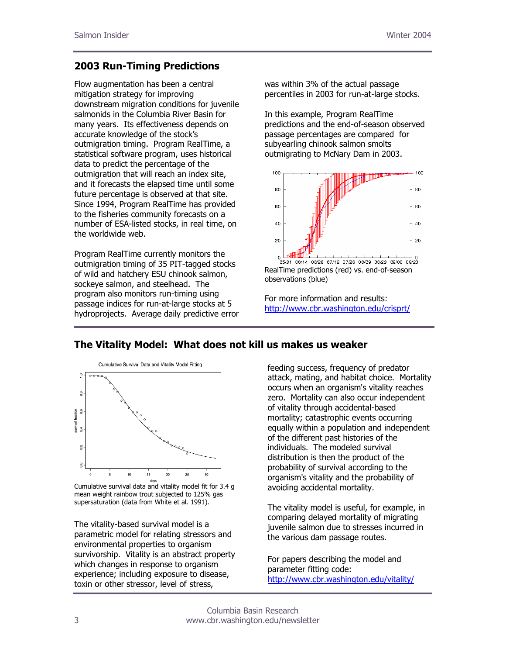#### **2003 Run-Timing Predictions**

Flow augmentation has been a central mitigation strategy for improving downstream migration conditions for juvenile salmonids in the Columbia River Basin for many years. Its effectiveness depends on accurate knowledge of the stock's outmigration timing. Program RealTime, a statistical software program, uses historical data to predict the percentage of the outmigration that will reach an index site, and it forecasts the elapsed time until some future percentage is observed at that site. Since 1994, Program RealTime has provided to the fisheries community forecasts on a number of ESA-listed stocks, in real time, on the worldwide web.

Program RealTime currently monitors the outmigration timing of 35 PIT-tagged stocks of wild and hatchery ESU chinook salmon, sockeye salmon, and steelhead. The program also monitors run-timing using passage indices for run-at-large stocks at 5 hydroprojects. Average daily predictive error was within 3% of the actual passage percentiles in 2003 for run-at-large stocks.

In this example, Program RealTime predictions and the end-of-season observed passage percentages are compared for subyearling chinook salmon smolts outmigrating to McNary Dam in 2003.



RealTime predictions (red) vs. end-of-season observations (blue)

For more information and results: <http://www.cbr.washington.edu/crisprt/>

## **The Vitality Model: What does not kill us makes us weaker**



 Cumulative survival data and vitality model fit for 3.4 g mean weight rainbow trout subjected to 125% gas supersaturation (data from White et al. 1991).

The vitality-based survival model is a parametric model for relating stressors and environmental properties to organism survivorship. Vitality is an abstract property which changes in response to organism experience; including exposure to disease, toxin or other stressor, level of stress,

feeding success, frequency of predator attack, mating, and habitat choice. Mortality occurs when an organism's vitality reaches zero. Mortality can also occur independent of vitality through accidental-based mortality; catastrophic events occurring equally within a population and independent of the different past histories of the individuals. The modeled survival distribution is then the product of the probability of survival according to the organism's vitality and the probability of avoiding accidental mortality.

The vitality model is useful, for example, in comparing delayed mortality of migrating juvenile salmon due to stresses incurred in the various dam passage routes.

For papers describing the model and parameter fitting code: <http://www.cbr.washington.edu/vitality/>